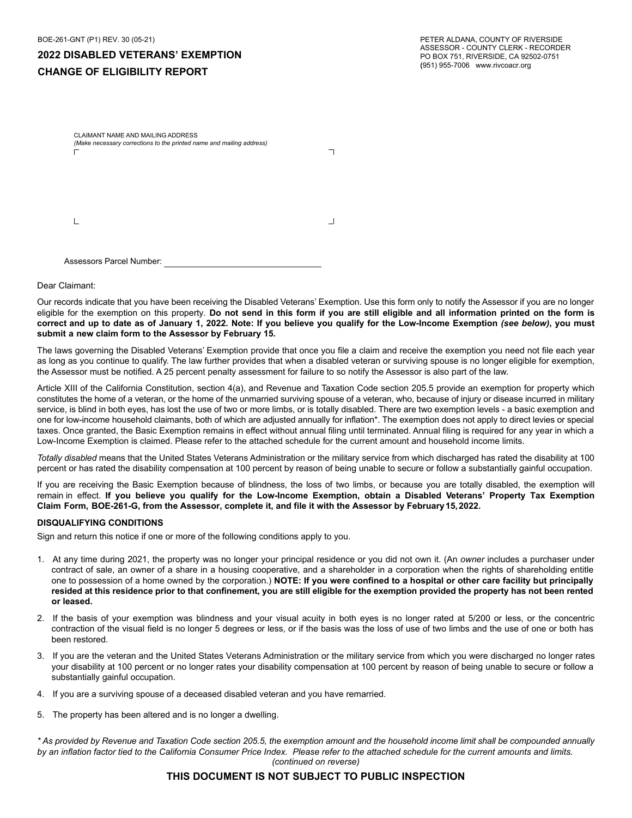|  | (Make necessary corrections to the printed name and mailing address) |  |
|--|----------------------------------------------------------------------|--|
|  |                                                                      |  |
|  |                                                                      |  |
|  |                                                                      |  |

Dear Claimant:

Our records indicate that you have been receiving the Disabled Veterans' Exemption. Use this form only to notify the Assessor if you are no longer eligible for the exemption on this property. Do not send in this form if you are still eligible and all information printed on the form is **correct and up to date as of January 1, 2022. Note: If you believe you qualify for the Low-Income Exemption** *(see below)***, you must submit a new claim form to the Assessor by February 15.**

The laws governing the Disabled Veterans' Exemption provide that once you file a claim and receive the exemption you need not file each year as long as you continue to qualify. The law further provides that when a disabled veteran or surviving spouse is no longer eligible for exemption, the Assessor must be notified. A 25 percent penalty assessment for failure to so notify the Assessor is also part of the law.

Article XIII of the California Constitution, section 4(a), and Revenue and Taxation Code section 205.5 provide an exemption for property which constitutes the home of a veteran, or the home of the unmarried surviving spouse of a veteran, who, because of injury or disease incurred in military service, is blind in both eyes, has lost the use of two or more limbs, or is totally disabled. There are two exemption levels - a basic exemption and one for low-income household claimants, both of which are adjusted annually for inflation\*. The exemption does not apply to direct levies or special taxes. Once granted, the Basic Exemption remains in effect without annual filing until terminated. Annual filing is required for any year in which a Low-Income Exemption is claimed. Please refer to the attached schedule for the current amount and household income limits.

*Totally disabled* means that the United States Veterans Administration or the military service from which discharged has rated the disability at 100 percent or has rated the disability compensation at 100 percent by reason of being unable to secure or follow a substantially gainful occupation.

If you are receiving the Basic Exemption because of blindness, the loss of two limbs, or because you are totally disabled, the exemption will remain in effect. **If you believe you qualify for the Low-Income Exemption, obtain a Disabled Veterans' Property Tax Exemption Claim Form, BOE-261-G, from the Assessor, complete it, and file it with the Assessor by February 15, 2022.**

## **DISQUALIFYING CONDITIONS**

Sign and return this notice if one or more of the following conditions apply to you.

- 1. At any time during 2021, the property was no longer your principal residence or you did not own it. (An *owner* includes a purchaser under contract of sale, an owner of a share in a housing cooperative, and a shareholder in a corporation when the rights of shareholding entitle one to possession of a home owned by the corporation.) **NOTE: If you were confined to a hospital or other care facility but principally resided at this residence prior to that confinement, you are still eligible for the exemption provided the property has not been rented or leased.**
- 2. If the basis of your exemption was blindness and your visual acuity in both eyes is no longer rated at 5/200 or less, or the concentric contraction of the visual field is no longer 5 degrees or less, or if the basis was the loss of use of two limbs and the use of one or both has been restored.
- 3. If you are the veteran and the United States Veterans Administration or the military service from which you were discharged no longer rates your disability at 100 percent or no longer rates your disability compensation at 100 percent by reason of being unable to secure or follow a substantially gainful occupation.
- 4. If you are a surviving spouse of a deceased disabled veteran and you have remarried.
- 5. The property has been altered and is no longer a dwelling.

*\* As provided by Revenue and Taxation Code section 205.5, the exemption amount and the household income limit shall be compounded annually by an inflation factor tied to the California Consumer Price Index. Please refer to the attached schedule for the current amounts and limits. (continued on reverse)*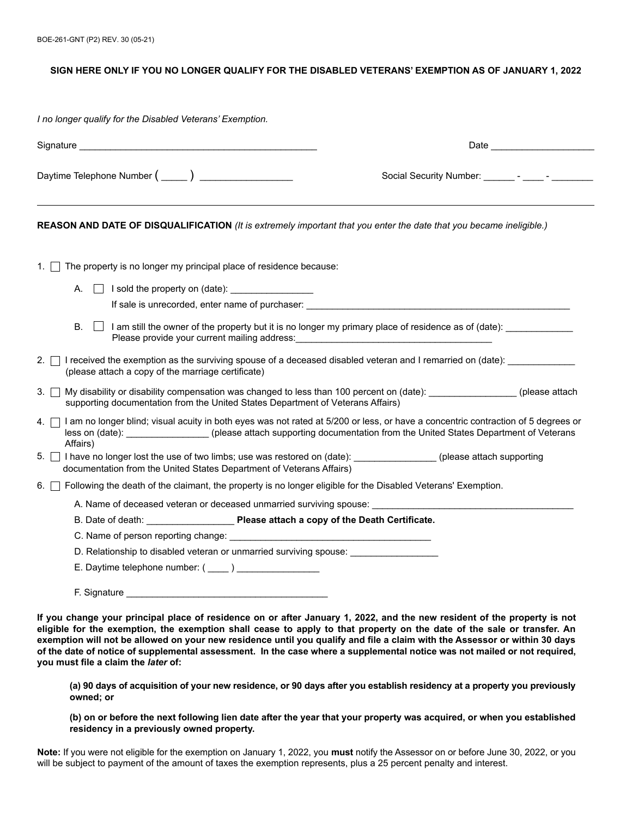## **SIGN HERE ONLY IF YOU NO LONGER QUALIFY FOR THE DISABLED VETERANS' EXEMPTION AS OF JANUARY 1, 2022**

*I no longer qualify for the Disabled Veterans' Exemption.*

| Signature and the state of the state of the state of the state of the state of the state of the state of the state of the state of the state of the state of the state of the state of the state of the state of the state of                                                  | Date                                                                                                                     |
|--------------------------------------------------------------------------------------------------------------------------------------------------------------------------------------------------------------------------------------------------------------------------------|--------------------------------------------------------------------------------------------------------------------------|
| Daytime Telephone Number ( _____ ) _________________                                                                                                                                                                                                                           | Social Security Number: _______ - _____ - ______ -                                                                       |
| REASON AND DATE OF DISQUALIFICATION (It is extremely important that you enter the date that you became ineligible.)                                                                                                                                                            |                                                                                                                          |
| The property is no longer my principal place of residence because:<br>1. $\vert$ 1                                                                                                                                                                                             |                                                                                                                          |
| A. $\Box$ I sold the property on (date): $\Box$                                                                                                                                                                                                                                |                                                                                                                          |
|                                                                                                                                                                                                                                                                                | If sale is unrecorded, enter name of purchaser: Note that the state of the state is unrecorded, enter name of purchaser: |
| В.                                                                                                                                                                                                                                                                             | $\Box$ I am still the owner of the property but it is no longer my primary place of residence as of (date):              |
| 2. I received the exemption as the surviving spouse of a deceased disabled veteran and I remarried on (date):<br>(please attach a copy of the marriage certificate)                                                                                                            |                                                                                                                          |
| My disability or disability compensation was changed to less than 100 percent on (date): _________________(please attach<br>3. I<br>supporting documentation from the United States Department of Veterans Affairs)                                                            |                                                                                                                          |
| I am no longer blind; visual acuity in both eyes was not rated at 5/200 or less, or have a concentric contraction of 5 degrees or<br>4.  <br>less on (date): ________________(please attach supporting documentation from the United States Department of Veterans<br>Affairs) |                                                                                                                          |
| 5. I have no longer lost the use of two limbs; use was restored on (date): (please attach supporting<br>documentation from the United States Department of Veterans Affairs)                                                                                                   |                                                                                                                          |
| 6. • Following the death of the claimant, the property is no longer eligible for the Disabled Veterans' Exemption.                                                                                                                                                             |                                                                                                                          |
| A. Name of deceased veteran or deceased unmarried surviving spouse: ________________________________                                                                                                                                                                           |                                                                                                                          |
| B. Date of death: <b>Please attach a copy of the Death Certificate.</b>                                                                                                                                                                                                        |                                                                                                                          |
|                                                                                                                                                                                                                                                                                |                                                                                                                          |
| D. Relationship to disabled veteran or unmarried surviving spouse:                                                                                                                                                                                                             |                                                                                                                          |
| E. Daytime telephone number: ( ____ ) ________________                                                                                                                                                                                                                         |                                                                                                                          |
|                                                                                                                                                                                                                                                                                |                                                                                                                          |

**If you change your principal place of residence on or after January 1, 2022, and the new resident of the property is not eligible for the exemption, the exemption shall cease to apply to that property on the date of the sale or transfer. An exemption will not be allowed on your new residence until you qualify and file a claim with the Assessor or within 30 days of the date of notice of supplemental assessment. In the case where a supplemental notice was not mailed or not required, you must file a claim the** *later* **of:** 

**(a) 90 days of acquisition of your new residence, or 90 days after you establish residency at a property you previously owned; or**

**(b) on or before the next following lien date after the year that your property was acquired, or when you established residency in a previously owned property.**

**Note:** If you were not eligible for the exemption on January 1, 2022, you **must** notify the Assessor on or before June 30, 2022, or you will be subject to payment of the amount of taxes the exemption represents, plus a 25 percent penalty and interest.